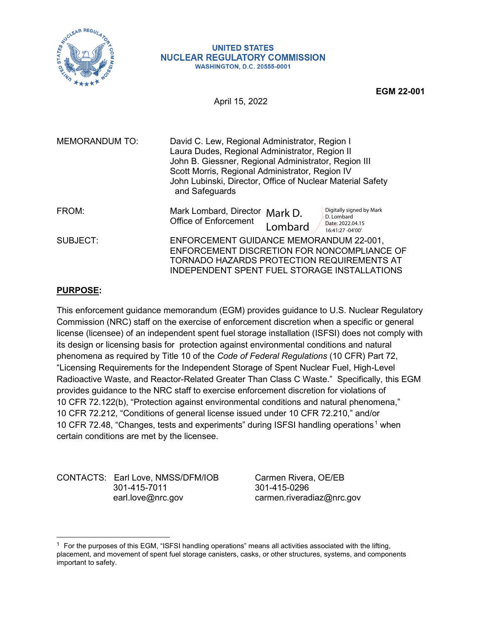

#### **UNITED STATES NUCLEAR REGULATORY COMMISSION WASHINGTON, D.C. 20555-0001**

**EGM 22-001**

April 15, 2022

| <b>MEMORANDUM TO:</b> | David C. Lew, Regional Administrator, Region I<br>Laura Dudes, Regional Administrator, Region II<br>John B. Giessner, Regional Administrator, Region III<br>Scott Morris, Regional Administrator, Region IV<br>John Lubinski, Director, Office of Nuclear Material Safety<br>and Safeguards |  |  |
|-----------------------|---------------------------------------------------------------------------------------------------------------------------------------------------------------------------------------------------------------------------------------------------------------------------------------------|--|--|
| FROM:                 | Digitally signed by Mark<br>Mark Lombard, Director<br>Mark D.<br>D. Lombard<br><b>Office of Enforcement</b><br>Date: 2022.04.15<br>Lombard<br>16:41:27 -04'00'                                                                                                                              |  |  |
| SUBJECT:              | ENFORCEMENT GUIDANCE MEMORANDUM 22-001,<br>ENFORCEMENT DISCRETION FOR NONCOMPLIANCE OF<br>TORNADO HAZARDS PROTECTION REQUIREMENTS AT<br>INDEPENDENT SPENT FUEL STORAGE INSTALLATIONS                                                                                                        |  |  |

# **PURPOSE:**

This enforcement guidance memorandum (EGM) provides guidance to U.S. Nuclear Regulatory Commission (NRC) staff on the exercise of enforcement discretion when a specific or general license (licensee) of an independent spent fuel storage installation (ISFSI) does not comply with its design or licensing basis for protection against environmental conditions and natural phenomena as required by Title 10 of the *Code of Federal Regulations* (10 CFR) Part 72, "Licensing Requirements for the Independent Storage of Spent Nuclear Fuel, High-Level Radioactive Waste, and Reactor-Related Greater Than Class C Waste." Specifically, this EGM provides guidance to the NRC staff to exercise enforcement discretion for violations of 10 CFR 72.122(b), "Protection against environmental conditions and natural phenomena," 10 CFR 72.212, "Conditions of general license issued under 10 CFR 72.210," and/or 10 CFR 72.48, "Changes, tests and experiments" during ISFSI handling operations<sup>1</sup> when certain conditions are met by the licensee.

CONTACTS: Earl Love, NMSS/DFM/IOB Carmen Rivera, OE/EB 301-415-7011<br>earl.love@nrc.gov

carmen.riveradiaz@nrc.gov

 $1$  For the purposes of this EGM, "ISFSI handling operations" means all activities associated with the lifting, placement, and movement of spent fuel storage canisters, casks, or other structures, systems, and components important to safety.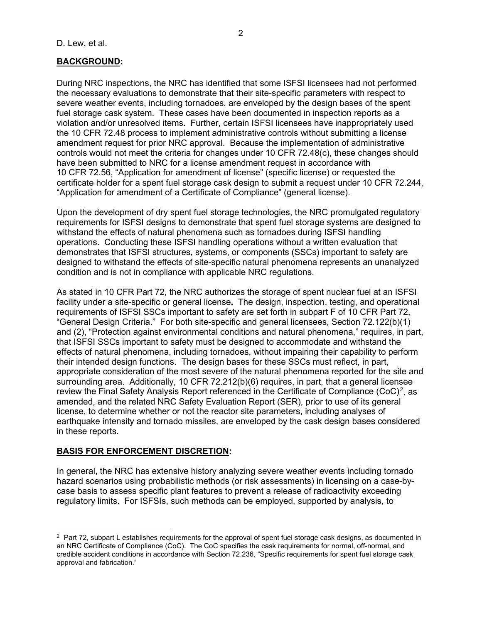# **BACKGROUND:**

During NRC inspections, the NRC has identified that some ISFSI licensees had not performed the necessary evaluations to demonstrate that their site-specific parameters with respect to severe weather events, including tornadoes, are enveloped by the design bases of the spent fuel storage cask system. These cases have been documented in inspection reports as a violation and/or unresolved items. Further, certain ISFSI licensees have inappropriately used the 10 CFR 72.48 process to implement administrative controls without submitting a license amendment request for prior NRC approval. Because the implementation of administrative controls would not meet the criteria for changes under 10 CFR 72.48(c), these changes should have been submitted to NRC for a license amendment request in accordance with 10 CFR 72.56, "Application for amendment of license" (specific license) or requested the certificate holder for a spent fuel storage cask design to submit a request under 10 CFR 72.244, "Application for amendment of a Certificate of Compliance" (general license).

Upon the development of dry spent fuel storage technologies, the NRC promulgated regulatory requirements for ISFSI designs to demonstrate that spent fuel storage systems are designed to withstand the effects of natural phenomena such as tornadoes during ISFSI handling operations. Conducting these ISFSI handling operations without a written evaluation that demonstrates that ISFSI structures, systems, or components (SSCs) important to safety are designed to withstand the effects of site-specific natural phenomena represents an unanalyzed condition and is not in compliance with applicable NRC regulations.

As stated in 10 CFR Part 72, the NRC authorizes the storage of spent nuclear fuel at an ISFSI facility under a site-specific or general license**.** The design, inspection, testing, and operational requirements of ISFSI SSCs important to safety are set forth in subpart F of 10 CFR Part 72, "General Design Criteria." For both site-specific and general licensees, Section 72.122(b)(1) and (2), "Protection against environmental conditions and natural phenomena," requires, in part, that ISFSI SSCs important to safety must be designed to accommodate and withstand the effects of natural phenomena, including tornadoes, without impairing their capability to perform their intended design functions. The design bases for these SSCs must reflect, in part, appropriate consideration of the most severe of the natural phenomena reported for the site and surrounding area. Additionally, 10 CFR 72.212(b)(6) requires, in part, that a general licensee review the Final Safety Analysis Report referenced in the Certificate of Compliance (CoC)<sup>2</sup>, as amended, and the related NRC Safety Evaluation Report (SER), prior to use of its general license, to determine whether or not the reactor site parameters, including analyses of earthquake intensity and tornado missiles, are enveloped by the cask design bases considered in these reports.

## **BASIS FOR ENFORCEMENT DISCRETION:**

In general, the NRC has extensive history analyzing severe weather events including tornado hazard scenarios using probabilistic methods (or risk assessments) in licensing on a case-bycase basis to assess specific plant features to prevent a release of radioactivity exceeding regulatory limits. For ISFSIs, such methods can be employed, supported by analysis, to

 $2$  Part 72, subpart L establishes requirements for the approval of spent fuel storage cask designs, as documented in an NRC Certificate of Compliance (CoC). The CoC specifies the cask requirements for normal, off-normal, and credible accident conditions in accordance with Section 72.236, "Specific requirements for spent fuel storage cask approval and fabrication."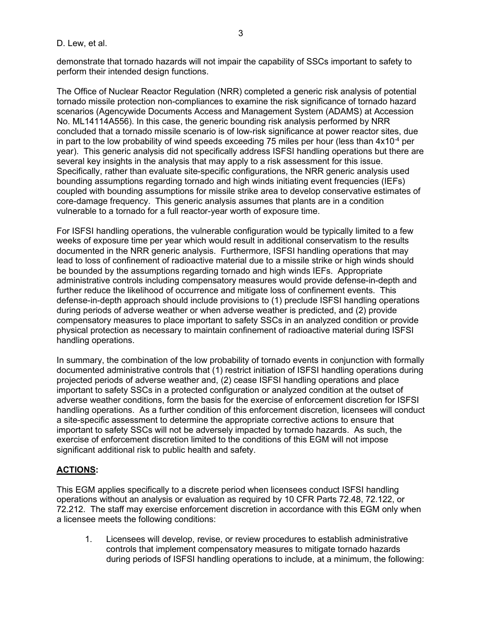demonstrate that tornado hazards will not impair the capability of SSCs important to safety to perform their intended design functions.

The Office of Nuclear Reactor Regulation (NRR) completed a generic risk analysis of potential tornado missile protection non-compliances to examine the risk significance of tornado hazard scenarios (Agencywide Documents Access and Management System (ADAMS) at Accession No. ML14114A556). In this case, the generic bounding risk analysis performed by NRR concluded that a tornado missile scenario is of low-risk significance at power reactor sites, due in part to the low probability of wind speeds exceeding 75 miles per hour (less than  $4x10^{-4}$  per year). This generic analysis did not specifically address ISFSI handling operations but there are several key insights in the analysis that may apply to a risk assessment for this issue. Specifically, rather than evaluate site-specific configurations, the NRR generic analysis used bounding assumptions regarding tornado and high winds initiating event frequencies (IEFs) coupled with bounding assumptions for missile strike area to develop conservative estimates of core-damage frequency. This generic analysis assumes that plants are in a condition vulnerable to a tornado for a full reactor-year worth of exposure time.

For ISFSI handling operations, the vulnerable configuration would be typically limited to a few weeks of exposure time per year which would result in additional conservatism to the results documented in the NRR generic analysis. Furthermore, ISFSI handling operations that may lead to loss of confinement of radioactive material due to a missile strike or high winds should be bounded by the assumptions regarding tornado and high winds IEFs. Appropriate administrative controls including compensatory measures would provide defense-in-depth and further reduce the likelihood of occurrence and mitigate loss of confinement events. This defense-in-depth approach should include provisions to (1) preclude ISFSI handling operations during periods of adverse weather or when adverse weather is predicted, and (2) provide compensatory measures to place important to safety SSCs in an analyzed condition or provide physical protection as necessary to maintain confinement of radioactive material during ISFSI handling operations.

In summary, the combination of the low probability of tornado events in conjunction with formally documented administrative controls that (1) restrict initiation of ISFSI handling operations during projected periods of adverse weather and, (2) cease ISFSI handling operations and place important to safety SSCs in a protected configuration or analyzed condition at the outset of adverse weather conditions, form the basis for the exercise of enforcement discretion for ISFSI handling operations. As a further condition of this enforcement discretion, licensees will conduct a site-specific assessment to determine the appropriate corrective actions to ensure that important to safety SSCs will not be adversely impacted by tornado hazards. As such, the exercise of enforcement discretion limited to the conditions of this EGM will not impose significant additional risk to public health and safety.

# **ACTIONS:**

This EGM applies specifically to a discrete period when licensees conduct ISFSI handling operations without an analysis or evaluation as required by 10 CFR Parts 72.48, 72.122, or 72.212. The staff may exercise enforcement discretion in accordance with this EGM only when a licensee meets the following conditions:

1. Licensees will develop, revise, or review procedures to establish administrative controls that implement compensatory measures to mitigate tornado hazards during periods of ISFSI handling operations to include, at a minimum, the following: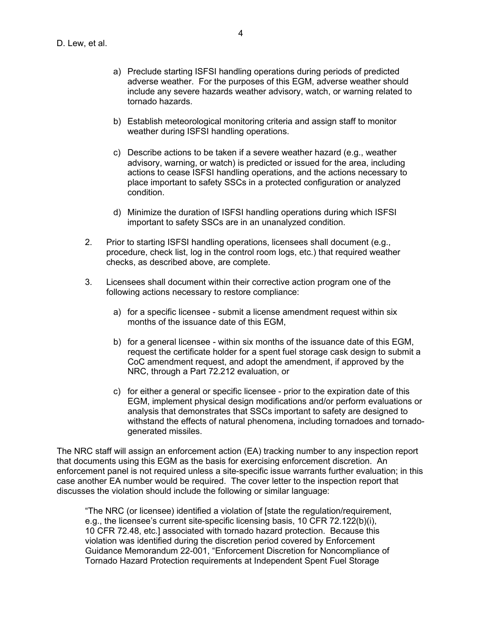- a) Preclude starting ISFSI handling operations during periods of predicted adverse weather. For the purposes of this EGM, adverse weather should include any severe hazards weather advisory, watch, or warning related to tornado hazards.
- b) Establish meteorological monitoring criteria and assign staff to monitor weather during ISFSI handling operations.
- c) Describe actions to be taken if a severe weather hazard (e.g., weather advisory, warning, or watch) is predicted or issued for the area, including actions to cease ISFSI handling operations, and the actions necessary to place important to safety SSCs in a protected configuration or analyzed condition.
- d) Minimize the duration of ISFSI handling operations during which ISFSI important to safety SSCs are in an unanalyzed condition.
- 2. Prior to starting ISFSI handling operations, licensees shall document (e.g., procedure, check list, log in the control room logs, etc.) that required weather checks, as described above, are complete.
- 3. Licensees shall document within their corrective action program one of the following actions necessary to restore compliance:
	- a) for a specific licensee submit a license amendment request within six months of the issuance date of this EGM,
	- b) for a general licensee within six months of the issuance date of this EGM, request the certificate holder for a spent fuel storage cask design to submit a CoC amendment request, and adopt the amendment, if approved by the NRC, through a Part 72.212 evaluation, or
	- c) for either a general or specific licensee prior to the expiration date of this EGM, implement physical design modifications and/or perform evaluations or analysis that demonstrates that SSCs important to safety are designed to withstand the effects of natural phenomena, including tornadoes and tornadogenerated missiles.

The NRC staff will assign an enforcement action (EA) tracking number to any inspection report that documents using this EGM as the basis for exercising enforcement discretion. An enforcement panel is not required unless a site-specific issue warrants further evaluation; in this case another EA number would be required. The cover letter to the inspection report that discusses the violation should include the following or similar language:

"The NRC (or licensee) identified a violation of [state the regulation/requirement, e.g., the licensee's current site-specific licensing basis, 10 CFR 72.122(b)(i), 10 CFR 72.48, etc.] associated with tornado hazard protection. Because this violation was identified during the discretion period covered by Enforcement Guidance Memorandum 22-001, "Enforcement Discretion for Noncompliance of Tornado Hazard Protection requirements at Independent Spent Fuel Storage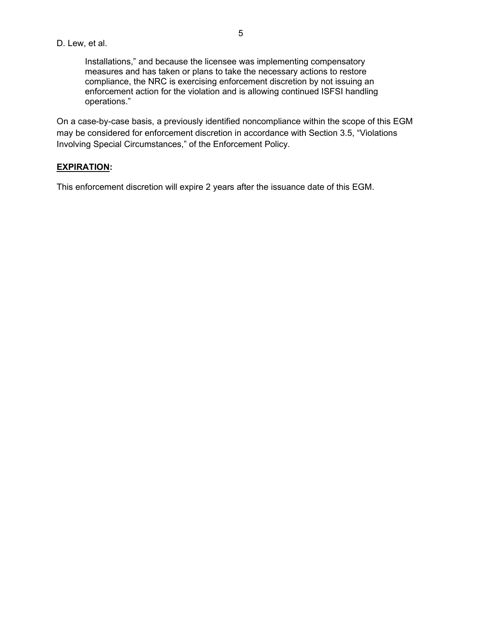### D. Lew, et al.

Installations," and because the licensee was implementing compensatory measures and has taken or plans to take the necessary actions to restore compliance, the NRC is exercising enforcement discretion by not issuing an enforcement action for the violation and is allowing continued ISFSI handling operations."

On a case-by-case basis, a previously identified noncompliance within the scope of this EGM may be considered for enforcement discretion in accordance with Section 3.5, "Violations Involving Special Circumstances," of the Enforcement Policy.

### **EXPIRATION:**

This enforcement discretion will expire 2 years after the issuance date of this EGM.